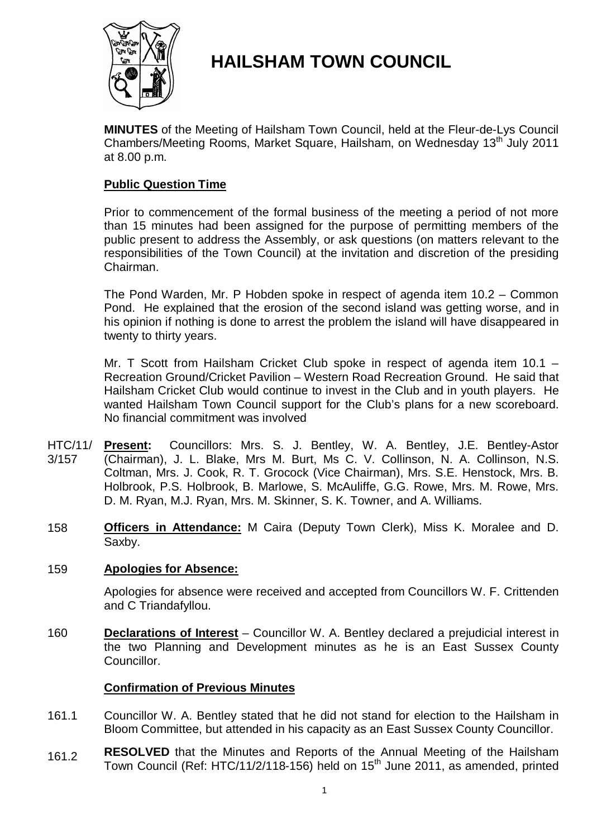

# **HAILSHAM TOWN COUNCIL**

**MINUTES** of the Meeting of Hailsham Town Council, held at the Fleur-de-Lys Council Chambers/Meeting Rooms, Market Square, Hailsham, on Wednesday 13<sup>th</sup> July 2011 at 8.00 p.m.

# **Public Question Time**

Prior to commencement of the formal business of the meeting a period of not more than 15 minutes had been assigned for the purpose of permitting members of the public present to address the Assembly, or ask questions (on matters relevant to the responsibilities of the Town Council) at the invitation and discretion of the presiding Chairman.

The Pond Warden, Mr. P Hobden spoke in respect of agenda item 10.2 – Common Pond. He explained that the erosion of the second island was getting worse, and in his opinion if nothing is done to arrest the problem the island will have disappeared in twenty to thirty years.

Mr. T Scott from Hailsham Cricket Club spoke in respect of agenda item 10.1 – Recreation Ground/Cricket Pavilion – Western Road Recreation Ground. He said that Hailsham Cricket Club would continue to invest in the Club and in youth players. He wanted Hailsham Town Council support for the Club's plans for a new scoreboard. No financial commitment was involved

- HTC/11/ 3/157 **Present:** Councillors: Mrs. S. J. Bentley, W. A. Bentley, J.E. Bentley-Astor (Chairman), J. L. Blake, Mrs M. Burt, Ms C. V. Collinson, N. A. Collinson, N.S. Coltman, Mrs. J. Cook, R. T. Grocock (Vice Chairman), Mrs. S.E. Henstock, Mrs. B. Holbrook, P.S. Holbrook, B. Marlowe, S. McAuliffe, G.G. Rowe, Mrs. M. Rowe, Mrs. D. M. Ryan, M.J. Ryan, Mrs. M. Skinner, S. K. Towner, and A. Williams.
- 158 **Officers in Attendance:** M Caira (Deputy Town Clerk), Miss K. Moralee and D. Saxby.

# 159 **Apologies for Absence:**

Apologies for absence were received and accepted from Councillors W. F. Crittenden and C Triandafyllou.

160 **Declarations of Interest** – Councillor W. A. Bentley declared a prejudicial interest in the two Planning and Development minutes as he is an East Sussex County Councillor.

# **Confirmation of Previous Minutes**

- 161.1 Councillor W. A. Bentley stated that he did not stand for election to the Hailsham in Bloom Committee, but attended in his capacity as an East Sussex County Councillor.
- 161.2 **RESOLVED** that the Minutes and Reports of the Annual Meeting of the Hailsham Town Council (Ref: HTC/11/2/118-156) held on 15<sup>th</sup> June 2011, as amended, printed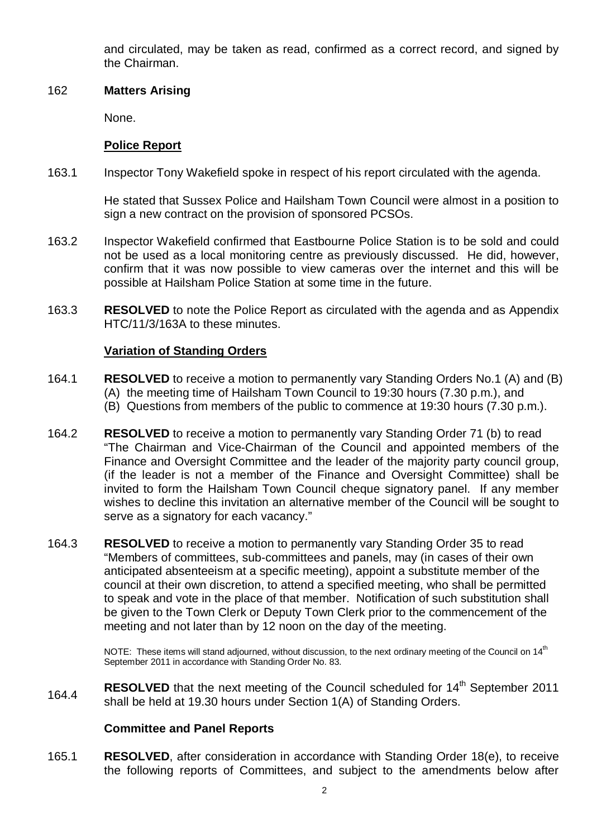and circulated, may be taken as read, confirmed as a correct record, and signed by the Chairman.

### 162 **Matters Arising**

None.

# **Police Report**

163.1 Inspector Tony Wakefield spoke in respect of his report circulated with the agenda.

> He stated that Sussex Police and Hailsham Town Council were almost in a position to sign a new contract on the provision of sponsored PCSOs.

- 163.2 Inspector Wakefield confirmed that Eastbourne Police Station is to be sold and could not be used as a local monitoring centre as previously discussed. He did, however, confirm that it was now possible to view cameras over the internet and this will be possible at Hailsham Police Station at some time in the future.
- 163.3 **RESOLVED** to note the Police Report as circulated with the agenda and as Appendix HTC/11/3/163A to these minutes.

# **Variation of Standing Orders**

- 164.1 **RESOLVED** to receive a motion to permanently vary Standing Orders No.1 (A) and (B) (A) the meeting time of Hailsham Town Council to 19:30 hours (7.30 p.m.), and (B) Questions from members of the public to commence at 19:30 hours (7.30 p.m.).
- 164.2 **RESOLVED** to receive a motion to permanently vary Standing Order 71 (b) to read "The Chairman and Vice-Chairman of the Council and appointed members of the Finance and Oversight Committee and the leader of the majority party council group, (if the leader is not a member of the Finance and Oversight Committee) shall be invited to form the Hailsham Town Council cheque signatory panel. If any member wishes to decline this invitation an alternative member of the Council will be sought to serve as a signatory for each vacancy."
- 164.3 **RESOLVED** to receive a motion to permanently vary Standing Order 35 to read "Members of committees, sub-committees and panels, may (in cases of their own anticipated absenteeism at a specific meeting), appoint a substitute member of the council at their own discretion, to attend a specified meeting, who shall be permitted to speak and vote in the place of that member. Notification of such substitution shall be given to the Town Clerk or Deputy Town Clerk prior to the commencement of the meeting and not later than by 12 noon on the day of the meeting.

NOTE: These items will stand adiourned, without discussion, to the next ordinary meeting of the Council on 14<sup>th</sup> September 2011 in accordance with Standing Order No. 83.

164.4 RESOLVED that the next meeting of the Council scheduled for 14<sup>th</sup> September 2011 shall be held at 19.30 hours under Section 1(A) of Standing Orders.

# **Committee and Panel Reports**

165.1 **RESOLVED**, after consideration in accordance with Standing Order 18(e), to receive the following reports of Committees, and subject to the amendments below after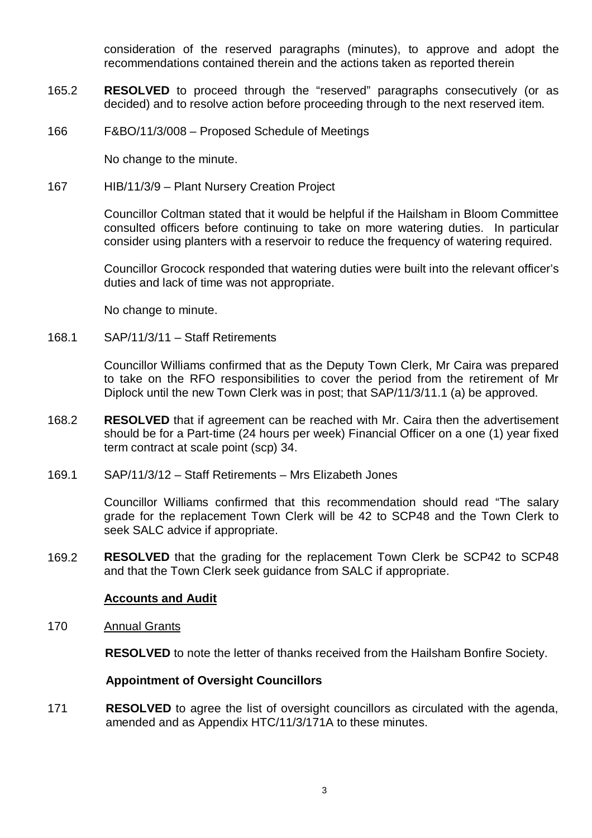consideration of the reserved paragraphs (minutes), to approve and adopt the recommendations contained therein and the actions taken as reported therein

- 165.2 **RESOLVED** to proceed through the "reserved" paragraphs consecutively (or as decided) and to resolve action before proceeding through to the next reserved item.
- 166 F&BO/11/3/008 Proposed Schedule of Meetings

No change to the minute.

167 HIB/11/3/9 – Plant Nursery Creation Project

Councillor Coltman stated that it would be helpful if the Hailsham in Bloom Committee consulted officers before continuing to take on more watering duties. In particular consider using planters with a reservoir to reduce the frequency of watering required.

Councillor Grocock responded that watering duties were built into the relevant officer's duties and lack of time was not appropriate.

No change to minute.

168.1 SAP/11/3/11 – Staff Retirements

> Councillor Williams confirmed that as the Deputy Town Clerk, Mr Caira was prepared to take on the RFO responsibilities to cover the period from the retirement of Mr Diplock until the new Town Clerk was in post; that SAP/11/3/11.1 (a) be approved.

- 168.2 **RESOLVED** that if agreement can be reached with Mr. Caira then the advertisement should be for a Part-time (24 hours per week) Financial Officer on a one (1) year fixed term contract at scale point (scp) 34.
- 169.1 SAP/11/3/12 – Staff Retirements – Mrs Elizabeth Jones

Councillor Williams confirmed that this recommendation should read "The salary grade for the replacement Town Clerk will be 42 to SCP48 and the Town Clerk to seek SALC advice if appropriate.

169.2 **RESOLVED** that the grading for the replacement Town Clerk be SCP42 to SCP48 and that the Town Clerk seek guidance from SALC if appropriate.

#### **Accounts and Audit**

170 Annual Grants

**RESOLVED** to note the letter of thanks received from the Hailsham Bonfire Society.

### **Appointment of Oversight Councillors**

171 **RESOLVED** to agree the list of oversight councillors as circulated with the agenda, amended and as Appendix HTC/11/3/171A to these minutes.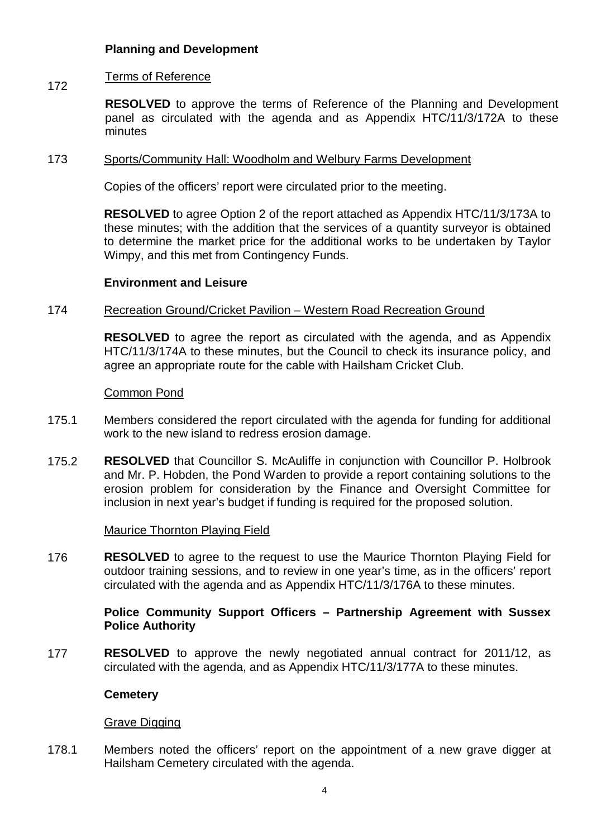## **Planning and Development**

#### 172 Terms of Reference

**RESOLVED** to approve the terms of Reference of the Planning and Development panel as circulated with the agenda and as Appendix HTC/11/3/172A to these minutes

#### 173 Sports/Community Hall: Woodholm and Welbury Farms Development

Copies of the officers' report were circulated prior to the meeting.

**RESOLVED** to agree Option 2 of the report attached as Appendix HTC/11/3/173A to these minutes; with the addition that the services of a quantity surveyor is obtained to determine the market price for the additional works to be undertaken by Taylor Wimpy, and this met from Contingency Funds.

#### **Environment and Leisure**

#### 174 Recreation Ground/Cricket Pavilion – Western Road Recreation Ground

**RESOLVED** to agree the report as circulated with the agenda, and as Appendix HTC/11/3/174A to these minutes, but the Council to check its insurance policy, and agree an appropriate route for the cable with Hailsham Cricket Club.

#### Common Pond

- 175.1 Members considered the report circulated with the agenda for funding for additional work to the new island to redress erosion damage.
- 175.2 **RESOLVED** that Councillor S. McAuliffe in conjunction with Councillor P. Holbrook and Mr. P. Hobden, the Pond Warden to provide a report containing solutions to the erosion problem for consideration by the Finance and Oversight Committee for inclusion in next year's budget if funding is required for the proposed solution.

#### Maurice Thornton Playing Field

176 **RESOLVED** to agree to the request to use the Maurice Thornton Playing Field for outdoor training sessions, and to review in one year's time, as in the officers' report circulated with the agenda and as Appendix HTC/11/3/176A to these minutes.

#### **Police Community Support Officers – Partnership Agreement with Sussex Police Authority**

177 **RESOLVED** to approve the newly negotiated annual contract for 2011/12, as circulated with the agenda, and as Appendix HTC/11/3/177A to these minutes.

#### **Cemetery**

### Grave Digging

178.1 Members noted the officers' report on the appointment of a new grave digger at Hailsham Cemetery circulated with the agenda.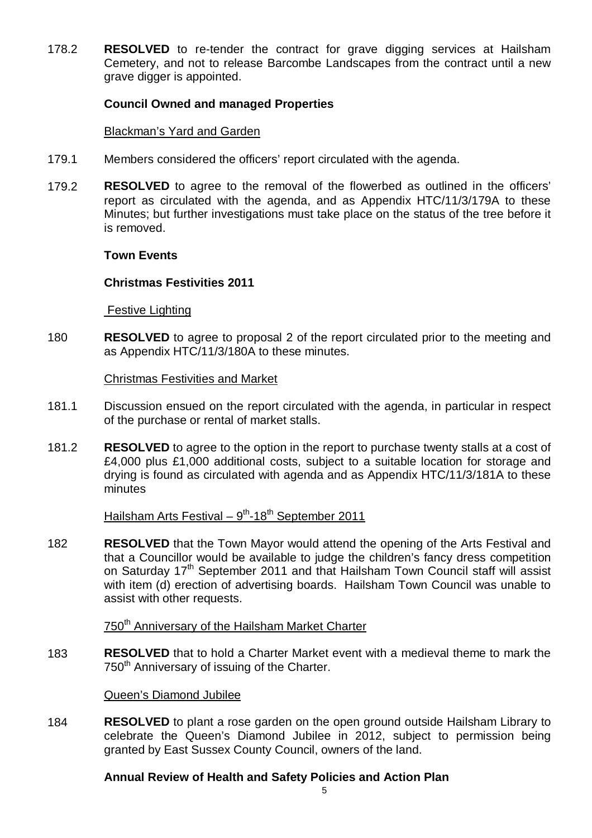178.2 **RESOLVED** to re-tender the contract for grave digging services at Hailsham Cemetery, and not to release Barcombe Landscapes from the contract until a new grave digger is appointed.

#### **Council Owned and managed Properties**

#### Blackman's Yard and Garden

- 179.1 Members considered the officers' report circulated with the agenda.
- 179.2 **RESOLVED** to agree to the removal of the flowerbed as outlined in the officers' report as circulated with the agenda, and as Appendix HTC/11/3/179A to these Minutes; but further investigations must take place on the status of the tree before it is removed.

#### **Town Events**

#### **Christmas Festivities 2011**

**Festive Lighting** 

180 **RESOLVED** to agree to proposal 2 of the report circulated prior to the meeting and as Appendix HTC/11/3/180A to these minutes.

#### Christmas Festivities and Market

- 181.1 Discussion ensued on the report circulated with the agenda, in particular in respect of the purchase or rental of market stalls.
- 181.2 **RESOLVED** to agree to the option in the report to purchase twenty stalls at a cost of £4,000 plus £1,000 additional costs, subject to a suitable location for storage and drying is found as circulated with agenda and as Appendix HTC/11/3/181A to these minutes

# Hailsham Arts Festival – 9<sup>th</sup>-18<sup>th</sup> September 2011

182 **RESOLVED** that the Town Mayor would attend the opening of the Arts Festival and that a Councillor would be available to judge the children's fancy dress competition on Saturday 17<sup>th</sup> September 2011 and that Hailsham Town Council staff will assist with item (d) erection of advertising boards. Hailsham Town Council was unable to assist with other requests.

750<sup>th</sup> Anniversary of the Hailsham Market Charter

183 **RESOLVED** that to hold a Charter Market event with a medieval theme to mark the 750<sup>th</sup> Anniversary of issuing of the Charter.

#### Queen's Diamond Jubilee

184 **RESOLVED** to plant a rose garden on the open ground outside Hailsham Library to celebrate the Queen's Diamond Jubilee in 2012, subject to permission being granted by East Sussex County Council, owners of the land.

### **Annual Review of Health and Safety Policies and Action Plan**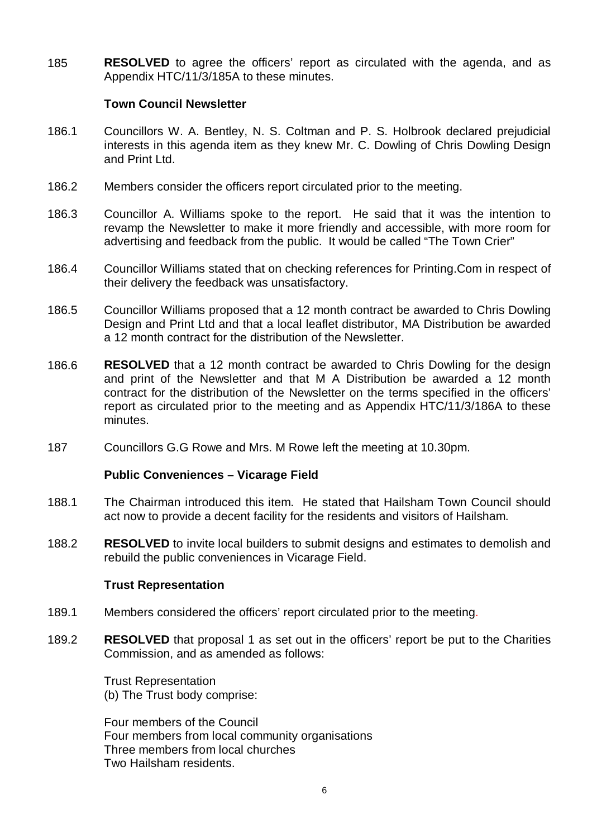185 **RESOLVED** to agree the officers' report as circulated with the agenda, and as Appendix HTC/11/3/185A to these minutes.

### **Town Council Newsletter**

- 186.1 Councillors W. A. Bentley, N. S. Coltman and P. S. Holbrook declared prejudicial interests in this agenda item as they knew Mr. C. Dowling of Chris Dowling Design and Print Ltd.
- 186.2 Members consider the officers report circulated prior to the meeting.
- 186.3 Councillor A. Williams spoke to the report. He said that it was the intention to revamp the Newsletter to make it more friendly and accessible, with more room for advertising and feedback from the public. It would be called "The Town Crier"
- 186.4 Councillor Williams stated that on checking references for Printing.Com in respect of their delivery the feedback was unsatisfactory.
- 186.5 Councillor Williams proposed that a 12 month contract be awarded to Chris Dowling Design and Print Ltd and that a local leaflet distributor, MA Distribution be awarded a 12 month contract for the distribution of the Newsletter.
- 186.6 **RESOLVED** that a 12 month contract be awarded to Chris Dowling for the design and print of the Newsletter and that M A Distribution be awarded a 12 month contract for the distribution of the Newsletter on the terms specified in the officers' report as circulated prior to the meeting and as Appendix HTC/11/3/186A to these minutes.
- 187 Councillors G.G Rowe and Mrs. M Rowe left the meeting at 10.30pm.

### **Public Conveniences – Vicarage Field**

- 188.1 The Chairman introduced this item. He stated that Hailsham Town Council should act now to provide a decent facility for the residents and visitors of Hailsham.
- 188.2 **RESOLVED** to invite local builders to submit designs and estimates to demolish and rebuild the public conveniences in Vicarage Field.

#### **Trust Representation**

- 189.1 Members considered the officers' report circulated prior to the meeting.
- 189.2 **RESOLVED** that proposal 1 as set out in the officers' report be put to the Charities Commission, and as amended as follows:

Trust Representation (b) The Trust body comprise:

Four members of the Council Four members from local community organisations Three members from local churches Two Hailsham residents.